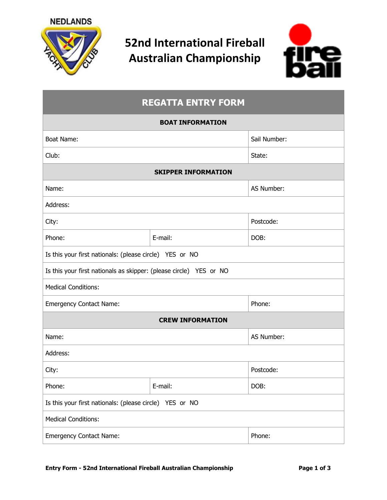

# **52nd International Fireball Australian Championship**



## **REGATTA ENTRY FORM**

#### **BOAT INFORMATION**

| <b>Boat Name:</b>                                                  |         | Sail Number: |  |  |
|--------------------------------------------------------------------|---------|--------------|--|--|
| Club:                                                              |         | State:       |  |  |
| <b>SKIPPER INFORMATION</b>                                         |         |              |  |  |
| Name:                                                              |         | AS Number:   |  |  |
| Address:                                                           |         |              |  |  |
| City:                                                              |         | Postcode:    |  |  |
| Phone:                                                             | E-mail: | DOB:         |  |  |
| Is this your first nationals: (please circle) YES or NO            |         |              |  |  |
| Is this your first nationals as skipper: (please circle) YES or NO |         |              |  |  |
| <b>Medical Conditions:</b>                                         |         |              |  |  |
| <b>Emergency Contact Name:</b>                                     |         | Phone:       |  |  |
| <b>CREW INFORMATION</b>                                            |         |              |  |  |
| Name:                                                              |         | AS Number:   |  |  |
| Address:                                                           |         |              |  |  |
| City:                                                              |         | Postcode:    |  |  |
| Phone:                                                             | E-mail: | DOB:         |  |  |
| Is this your first nationals: (please circle) YES or NO            |         |              |  |  |
| <b>Medical Conditions:</b>                                         |         |              |  |  |
| <b>Emergency Contact Name:</b>                                     |         | Phone:       |  |  |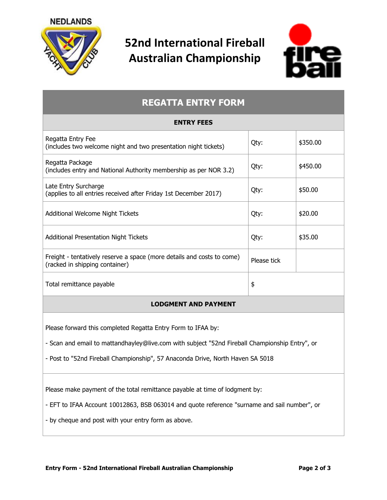**NEDLANDS** 



## **52nd International Fireball Australian Championship**



## **REGATTA ENTRY FORM**

| <b>ENTRY FEES</b>                                                                                        |             |          |  |
|----------------------------------------------------------------------------------------------------------|-------------|----------|--|
| Regatta Entry Fee<br>(includes two welcome night and two presentation night tickets)                     | Qty:        | \$350.00 |  |
| Regatta Package<br>(includes entry and National Authority membership as per NOR 3.2)                     | Qty:        | \$450.00 |  |
| Late Entry Surcharge<br>(applies to all entries received after Friday 1st December 2017)                 | Qty:        | \$50.00  |  |
| Additional Welcome Night Tickets                                                                         | Qty:        | \$20.00  |  |
| <b>Additional Presentation Night Tickets</b>                                                             | Qty:        | \$35.00  |  |
| Freight - tentatively reserve a space (more details and costs to come)<br>(racked in shipping container) | Please tick |          |  |
| Total remittance payable                                                                                 | \$          |          |  |
| <b>LODGMENT AND PAYMENT</b>                                                                              |             |          |  |

Please forward this completed Regatta Entry Form to IFAA by:

- Scan and email to mattandhayley@live.com with subject "52nd Fireball Championship Entry", or

- Post to "52nd Fireball Championship", 57 Anaconda Drive, North Haven SA 5018

Please make payment of the total remittance payable at time of lodgment by:

- EFT to IFAA Account 10012863, BSB 063014 and quote reference "surname and sail number", or

- by cheque and post with your entry form as above.